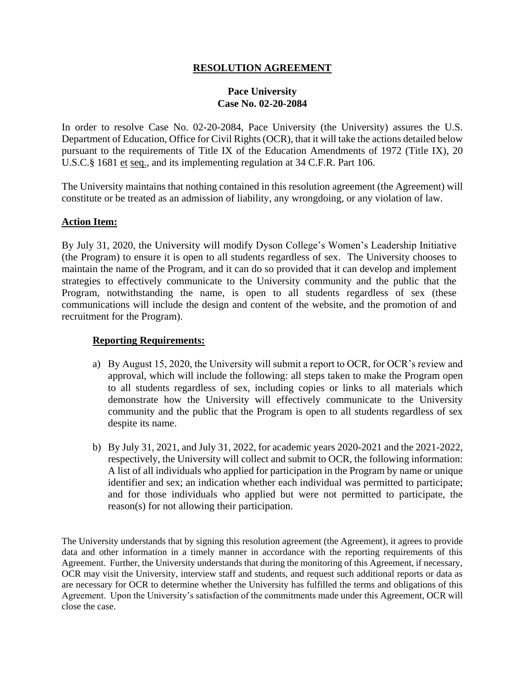## **RESOLUTION AGREEMENT**

## **Pace University Case No. 02-20-2084**

In order to resolve Case No. 02-20-2084, Pace University (the University) assures the U.S. Department of Education, Office for Civil Rights (OCR), that it will take the actions detailed below pursuant to the requirements of Title IX of the Education Amendments of 1972 (Title IX), 20 U.S.C.§ 1681 et seq., and its implementing regulation at 34 C.F.R. Part 106.

The University maintains that nothing contained in this resolution agreement (the Agreement) will constitute or be treated as an admission of liability, any wrongdoing, or any violation of law.

## **Action Item:**

By July 31, 2020, the University will modify Dyson College's Women's Leadership Initiative (the Program) to ensure it is open to all students regardless of sex. The University chooses to maintain the name of the Program, and it can do so provided that it can develop and implement strategies to effectively communicate to the University community and the public that the Program, notwithstanding the name, is open to all students regardless of sex (these communications will include the design and content of the website, and the promotion of and recruitment for the Program).

## **Reporting Requirements:**

- a) By August 15, 2020, the University will submit a report to OCR, for OCR's review and approval, which will include the following: all steps taken to make the Program open to all students regardless of sex, including copies or links to all materials which demonstrate how the University will effectively communicate to the University community and the public that the Program is open to all students regardless of sex despite its name.
- b) By July 31, 2021, and July 31, 2022, for academic years 2020-2021 and the 2021-2022, respectively, the University will collect and submit to OCR, the following information: A list of all individuals who applied for participation in the Program by name or unique identifier and sex; an indication whether each individual was permitted to participate; and for those individuals who applied but were not permitted to participate, the reason(s) for not allowing their participation.

The University understands that by signing this resolution agreement (the Agreement), it agrees to provide data and other information in a timely manner in accordance with the reporting requirements of this Agreement. Further, the University understands that during the monitoring of this Agreement, if necessary, OCR may visit the University, interview staff and students, and request such additional reports or data as are necessary for OCR to determine whether the University has fulfilled the terms and obligations of this Agreement. Upon the University's satisfaction of the commitments made under this Agreement, OCR will close the case.